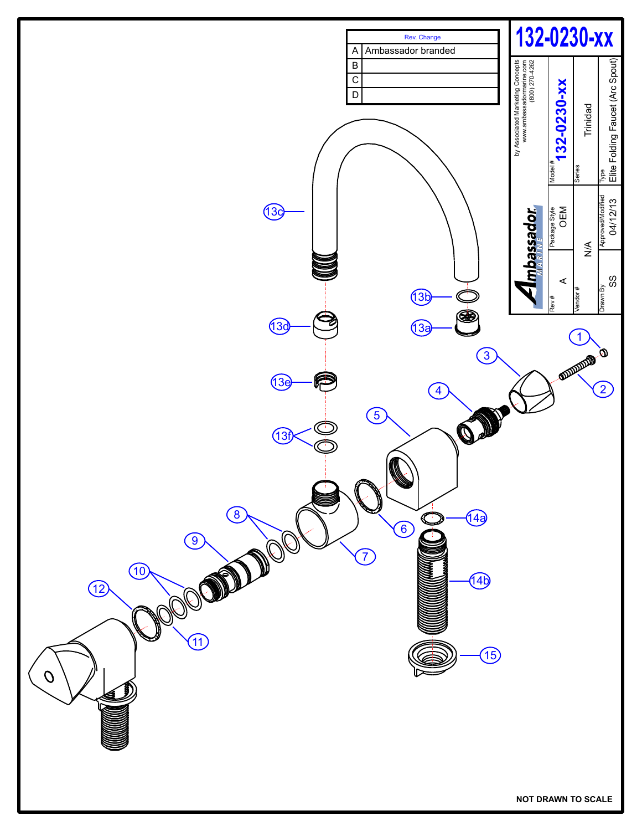